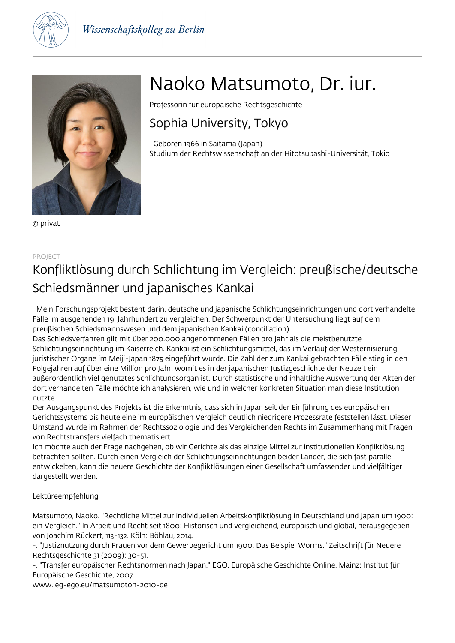



© privat

# Naoko Matsumoto, Dr. iur.

Professorin für europäische Rechtsgeschichte

## Sophia University, Tokyo

 Geboren 1966 in Saitama (Japan) Studium der Rechtswissenschaft an der Hitotsubashi-Universität, Tokio

### PROJECT

# Konfliktlösung durch Schlichtung im Vergleich: preußische/deutsche Schiedsmänner und japanisches Kankai

 Mein Forschungsprojekt besteht darin, deutsche und japanische Schlichtungseinrichtungen und dort verhandelte Fälle im ausgehenden 19. Jahrhundert zu vergleichen. Der Schwerpunkt der Untersuchung liegt auf dem preußischen Schiedsmannswesen und dem japanischen Kankai (conciliation).

Das Schiedsverfahren gilt mit über 200.000 angenommenen Fällen pro Jahr als die meistbenutzte Schlichtungseinrichtung im Kaiserreich. Kankai ist ein Schlichtungsmittel, das im Verlauf der Westernisierung juristischer Organe im Meiji-Japan 1875 eingeführt wurde. Die Zahl der zum Kankai gebrachten Fälle stieg in den Folgejahren auf über eine Million pro Jahr, womit es in der japanischen Justizgeschichte der Neuzeit ein außerordentlich viel genutztes Schlichtungsorgan ist. Durch statistische und inhaltliche Auswertung der Akten der dort verhandelten Fälle möchte ich analysieren, wie und in welcher konkreten Situation man diese Institution nutzte.

Der Ausgangspunkt des Projekts ist die Erkenntnis, dass sich in Japan seit der Einführung des europäischen Gerichtssystems bis heute eine im europäischen Vergleich deutlich niedrigere Prozessrate feststellen lässt. Dieser Umstand wurde im Rahmen der Rechtssoziologie und des Vergleichenden Rechts im Zusammenhang mit Fragen von Rechtstransfers vielfach thematisiert.

Ich möchte auch der Frage nachgehen, ob wir Gerichte als das einzige Mittel zur institutionellen Konfliktlösung betrachten sollten. Durch einen Vergleich der Schlichtungseinrichtungen beider Länder, die sich fast parallel entwickelten, kann die neuere Geschichte der Konfliktlösungen einer Gesellschaft umfassender und vielfältiger dargestellt werden.

### Lektüreempfehlung

Matsumoto, Naoko. "Rechtliche Mittel zur individuellen Arbeitskonfliktlösung in Deutschland und Japan um 1900: ein Vergleich." In Arbeit und Recht seit 1800: Historisch und vergleichend, europäisch und global, herausgegeben von Joachim Rückert, 113-132. Köln: Böhlau, 2014.

-. "Justiznutzung durch Frauen vor dem Gewerbegericht um 1900. Das Beispiel Worms." Zeitschrift für Neuere Rechtsgeschichte 31 (2009): 30-51.

-. "Transfer europäischer Rechtsnormen nach Japan." EGO. Europäische Geschichte Online. Mainz: Institut für Europäische Geschichte, 2007.

www.ieg-ego.eu/matsumoton-2010-de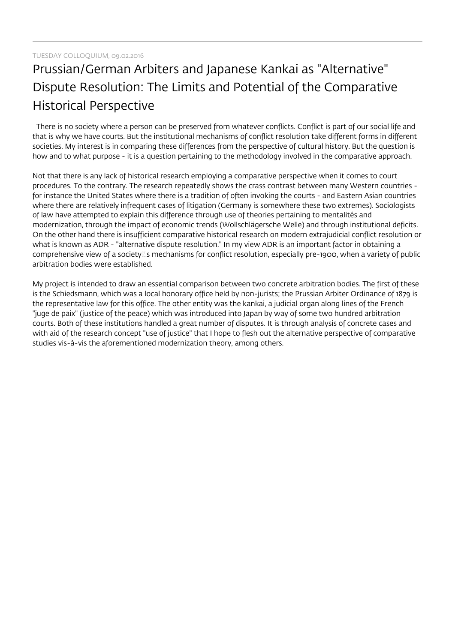## Prussian/German Arbiters and Japanese Kankai as "Alternative" Dispute Resolution: The Limits and Potential of the Comparative Historical Perspective

There is no society where a person can be preserved from whatever conflicts. Conflict is part of our social life and that is why we have courts. But the institutional mechanisms of conflict resolution take different forms in different societies. My interest is in comparing these differences from the perspective of cultural history. But the question is how and to what purpose - it is a question pertaining to the methodology involved in the comparative approach.

Not that there is any lack of historical research employing a comparative perspective when it comes to court procedures. To the contrary. The research repeatedly shows the crass contrast between many Western countries for instance the United States where there is a tradition of often invoking the courts - and Eastern Asian countries where there are relatively infrequent cases of litigation (Germany is somewhere these two extremes). Sociologists of law have attempted to explain this difference through use of theories pertaining to mentalités and modernization, through the impact of economic trends (Wollschlägersche Welle) and through institutional deficits. On the other hand there is insufficient comparative historical research on modern extrajudicial conflict resolution or what is known as ADR - "alternative dispute resolution." In my view ADR is an important factor in obtaining a comprehensive view of a society<sup>m</sup>s mechanisms for conflict resolution, especially pre-1900, when a variety of public arbitration bodies were established.

My project is intended to draw an essential comparison between two concrete arbitration bodies. The first of these is the Schiedsmann, which was a local honorary office held by non-jurists; the Prussian Arbiter Ordinance of 1879 is the representative law for this office. The other entity was the kankai, a judicial organ along lines of the French "juge de paix" (justice of the peace) which was introduced into Japan by way of some two hundred arbitration courts. Both of these institutions handled a great number of disputes. It is through analysis of concrete cases and with aid of the research concept "use of justice" that I hope to flesh out the alternative perspective of comparative studies vis-à-vis the aforementioned modernization theory, among others.